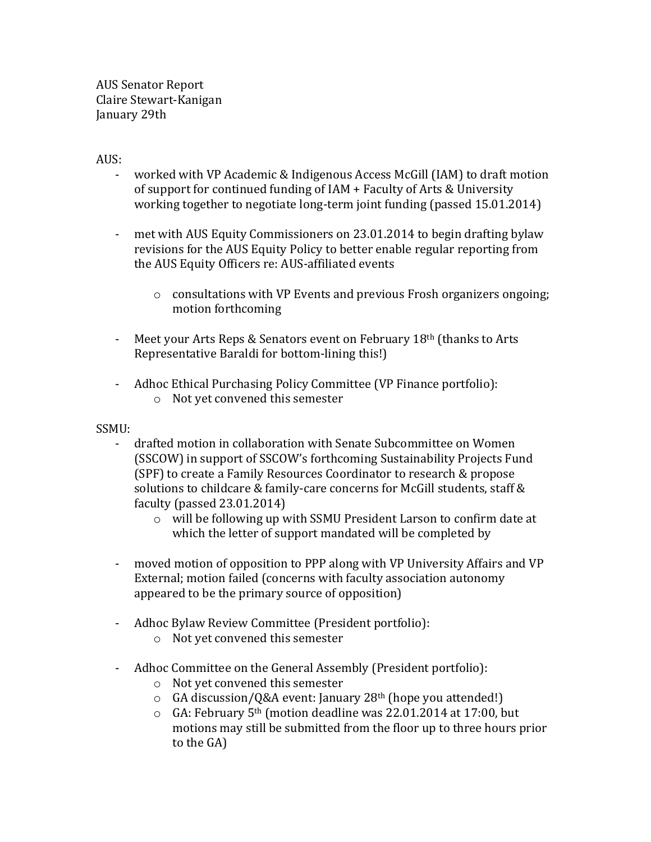AUS Senator Report Claire Stewart-Kanigan January 29th

## AUS:

- worked with VP Academic & Indigenous Access McGill (IAM) to draft motion of support for continued funding of  $IAM + Faculty$  of Arts & University working together to negotiate long-term joint funding (passed 15.01.2014)
- met with AUS Equity Commissioners on 23.01.2014 to begin drafting bylaw revisions for the AUS Equity Policy to better enable regular reporting from the AUS Equity Officers re: AUS-affiliated events
	- $\circ$  consultations with VP Events and previous Frosh organizers ongoing; motion forthcoming
- Meet your Arts Reps & Senators event on February  $18<sup>th</sup>$  (thanks to Arts Representative Baraldi for bottom-lining this!)
- Adhoc Ethical Purchasing Policy Committee (VP Finance portfolio):  $\circ$  Not vet convened this semester

## SSMU:

- drafted motion in collaboration with Senate Subcommittee on Women (SSCOW) in support of SSCOW's forthcoming Sustainability Projects Fund (SPF) to create a Family Resources Coordinator to research & propose solutions to childcare & family-care concerns for McGill students, staff & faculty (passed  $23.01.2014$ )
	- $\circ$  will be following up with SSMU President Larson to confirm date at which the letter of support mandated will be completed by
- moved motion of opposition to PPP along with VP University Affairs and VP External; motion failed (concerns with faculty association autonomy appeared to be the primary source of opposition)
- Adhoc Bylaw Review Committee (President portfolio):
	- $\circ$  Not yet convened this semester
- Adhoc Committee on the General Assembly (President portfolio):
	- $\circ$  Not yet convened this semester
	- $\circ$  GA discussion/Q&A event: January 28<sup>th</sup> (hope you attended!)
	- $\circ$  GA: February 5<sup>th</sup> (motion deadline was 22.01.2014 at 17:00, but motions may still be submitted from the floor up to three hours prior to the GA)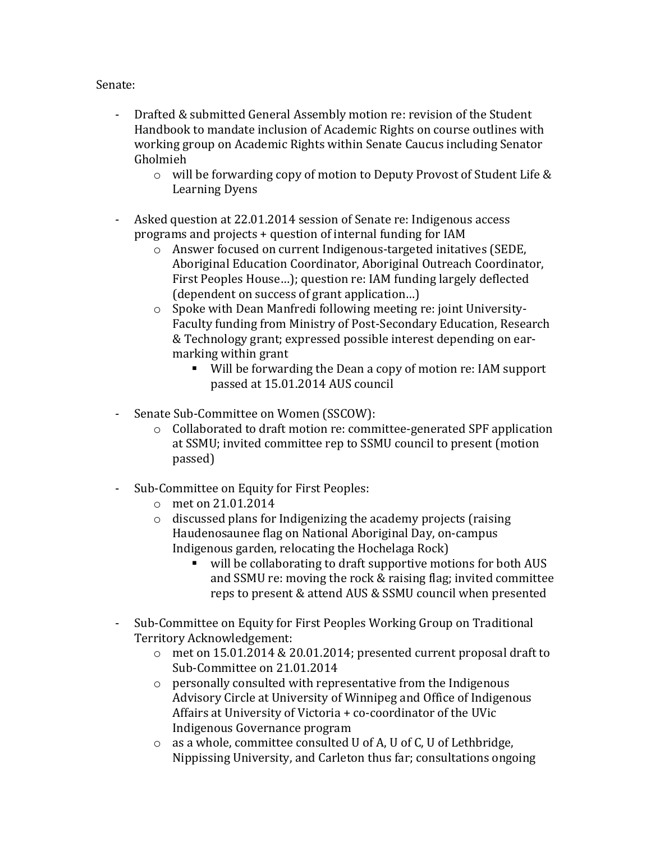## Senate:

- Drafted & submitted General Assembly motion re: revision of the Student Handbook to mandate inclusion of Academic Rights on course outlines with working group on Academic Rights within Senate Caucus including Senator Gholmieh
	- $\circ$  will be forwarding copy of motion to Deputy Provost of Student Life & Learning Dyens
- Asked question at 22.01.2014 session of Senate re: Indigenous access programs and projects  $+$  question of internal funding for IAM
	- $\circ$  Answer focused on current Indigenous-targeted initatives (SEDE, Aboriginal Education Coordinator, Aboriginal Outreach Coordinator, First Peoples House...); question re: IAM funding largely deflected (dependent on success of grant application...)
	- $\circ$  Spoke with Dean Manfredi following meeting re: joint University-Faculty funding from Ministry of Post-Secondary Education, Research & Technology grant; expressed possible interest depending on earmarking within grant
		- Will be forwarding the Dean a copy of motion re: IAM support passed at 15.01.2014 AUS council
- Senate Sub-Committee on Women (SSCOW):
	- $\circ$  Collaborated to draft motion re: committee-generated SPF application at SSMU; invited committee rep to SSMU council to present (motion passed)
- Sub-Committee on Equity for First Peoples:
	- o met on 21.01.2014
	- $\circ$  discussed plans for Indigenizing the academy projects (raising Haudenosaunee flag on National Aboriginal Day, on-campus Indigenous garden, relocating the Hochelaga Rock)
		- will be collaborating to draft supportive motions for both AUS and SSMU re: moving the rock  $&$  raising flag; invited committee reps to present & attend AUS & SSMU council when presented
- Sub-Committee on Equity for First Peoples Working Group on Traditional Territory Acknowledgement:
	- o met on 15.01.2014 & 20.01.2014; presented current proposal draft to Sub-Committee on 21.01.2014
	- $\circ$  personally consulted with representative from the Indigenous Advisory Circle at University of Winnipeg and Office of Indigenous Affairs at University of Victoria  $+$  co-coordinator of the UVic Indigenous Governance program
	- $\circ$  as a whole, committee consulted U of A, U of C, U of Lethbridge, Nippissing University, and Carleton thus far; consultations ongoing